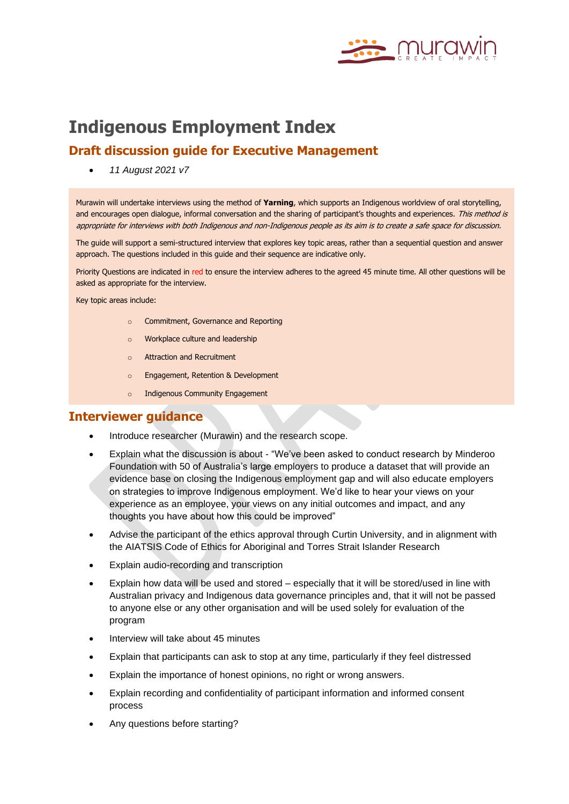

# **Indigenous Employment Index**

# **Draft discussion guide for Executive Management**

• *11 August 2021 v7*

Murawin will undertake interviews using the method of **Yarning**, which supports an Indigenous worldview of oral storytelling, and encourages open dialogue, informal conversation and the sharing of participant's thoughts and experiences. This method is appropriate for interviews with both Indigenous and non-Indigenous people as its aim is to create a safe space for discussion.

The guide will support a semi-structured interview that explores key topic areas, rather than a sequential question and answer approach. The questions included in this guide and their sequence are indicative only.

Priority Questions are indicated in red to ensure the interview adheres to the agreed 45 minute time. All other questions will be asked as appropriate for the interview.

Key topic areas include:

- o Commitment, Governance and Reporting
- o Workplace culture and leadership
- o Attraction and Recruitment
- o Engagement, Retention & Development
- o Indigenous Community Engagement

## **Interviewer guidance**

- Introduce researcher (Murawin) and the research scope.
- Explain what the discussion is about "We've been asked to conduct research by Minderoo Foundation with 50 of Australia's large employers to produce a dataset that will provide an evidence base on closing the Indigenous employment gap and will also educate employers on strategies to improve Indigenous employment. We'd like to hear your views on your experience as an employee, your views on any initial outcomes and impact, and any thoughts you have about how this could be improved"
- Advise the participant of the ethics approval through Curtin University, and in alignment with the AIATSIS Code of Ethics for Aboriginal and Torres Strait Islander Research
- Explain audio-recording and transcription
- Explain how data will be used and stored especially that it will be stored/used in line with Australian privacy and Indigenous data governance principles and, that it will not be passed to anyone else or any other organisation and will be used solely for evaluation of the program
- Interview will take about 45 minutes
- Explain that participants can ask to stop at any time, particularly if they feel distressed
- Explain the importance of honest opinions, no right or wrong answers.
- Explain recording and confidentiality of participant information and informed consent process
- Any questions before starting?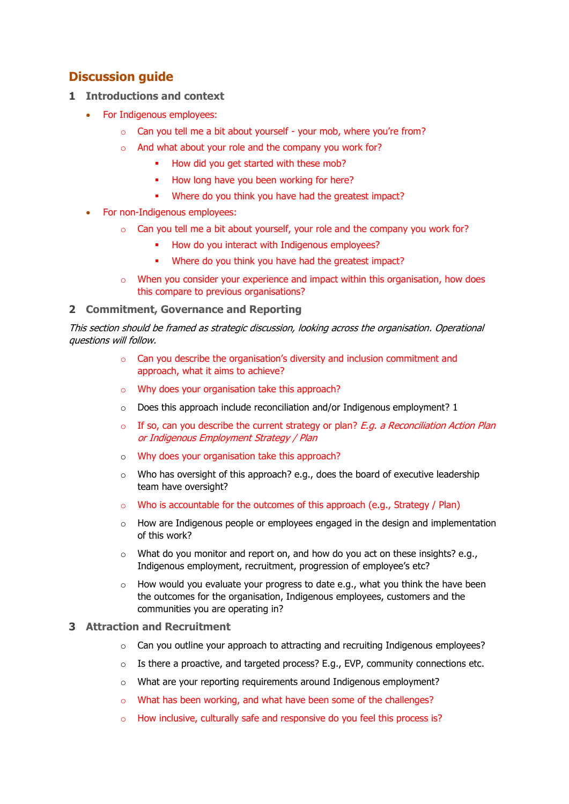# **Discussion guide**

- **1 Introductions and context** 
	- For Indigenous employees:
		- o Can you tell me a bit about yourself your mob, where you're from?
		- o And what about your role and the company you work for?
			- **■** How did you get started with these mob?
			- How long have you been working for here?
			- Where do you think you have had the greatest impact?
	- For non-Indigenous employees:
		- o Can you tell me a bit about yourself, your role and the company you work for?
			- How do you interact with Indigenous employees?
			- Where do you think you have had the greatest impact?
		- $\circ$  When you consider your experience and impact within this organisation, how does this compare to previous organisations?

## **2 Commitment, Governance and Reporting**

This section should be framed as strategic discussion, looking across the organisation. Operational questions will follow.

- $\circ$  Can you describe the organisation's diversity and inclusion commitment and approach, what it aims to achieve?
- o Why does your organisation take this approach?
- $\circ$  Does this approach include reconciliation and/or Indigenous employment? 1
- $\circ$  If so, can you describe the current strategy or plan? E.g. a Reconciliation Action Plan or Indigenous Employment Strategy / Plan
- o Why does your organisation take this approach?
- $\circ$  Who has oversight of this approach? e.g., does the board of executive leadership team have oversight?
- o Who is accountable for the outcomes of this approach (e.g., Strategy / Plan)
- $\circ$  How are Indigenous people or employees engaged in the design and implementation of this work?
- $\circ$  What do you monitor and report on, and how do you act on these insights? e.g., Indigenous employment, recruitment, progression of employee's etc?
- o How would you evaluate your progress to date e.g., what you think the have been the outcomes for the organisation, Indigenous employees, customers and the communities you are operating in?

## **3 Attraction and Recruitment**

- $\circ$  Can you outline your approach to attracting and recruiting Indigenous employees?
- $\circ$  Is there a proactive, and targeted process? E.g., EVP, community connections etc.
- o What are your reporting requirements around Indigenous employment?
- o What has been working, and what have been some of the challenges?
- o How inclusive, culturally safe and responsive do you feel this process is?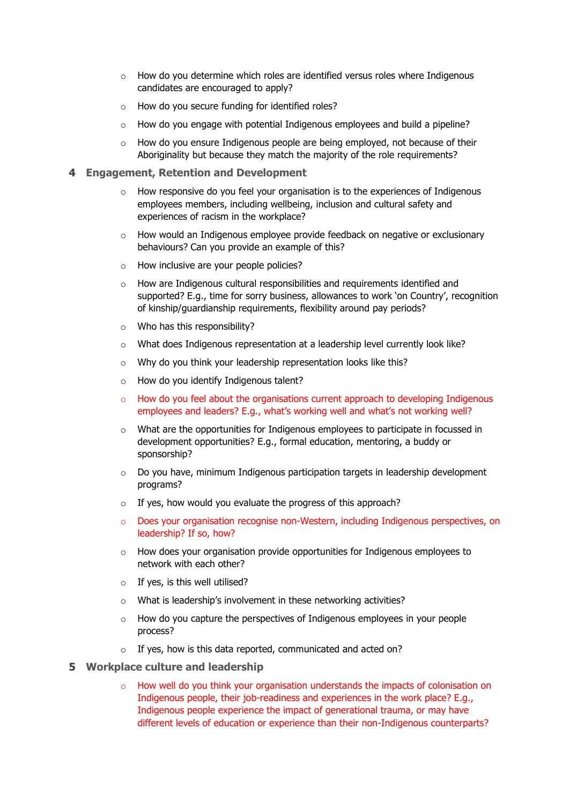- o How do you determine which roles are identified versus roles where Indigenous candidates are encouraged to apply?
- o How do you secure funding for identified roles?
- $\circ$  How do you engage with potential Indigenous employees and build a pipeline?
- o How do you ensure Indigenous people are being employed, not because of their Aboriginality but because they match the majority of the role requirements?

#### **4 Engagement, Retention and Development**

- $\circ$  How responsive do you feel your organisation is to the experiences of Indigenous employees members, including wellbeing, inclusion and cultural safety and experiences of racism in the workplace?
- o How would an Indigenous employee provide feedback on negative or exclusionary behaviours? Can you provide an example of this?
- o How inclusive are your people policies?
- $\circ$  How are Indigenous cultural responsibilities and requirements identified and supported? E.g., time for sorry business, allowances to work 'on Country', recognition of kinship/guardianship requirements, flexibility around pay periods?
- o Who has this responsibility?
- $\circ$  What does Indigenous representation at a leadership level currently look like?
- o Why do you think your leadership representation looks like this?
- o How do you identify Indigenous talent?
- $\circ$  How do you feel about the organisations current approach to developing Indigenous employees and leaders? E.g., what's working well and what's not working well?
- $\circ$  What are the opportunities for Indigenous employees to participate in focussed in development opportunities? E.g., formal education, mentoring, a buddy or sponsorship?
- $\circ$  Do you have, minimum Indigenous participation targets in leadership development programs?
- o If yes, how would you evaluate the progress of this approach?
- o Does your organisation recognise non-Western, including Indigenous perspectives, on leadership? If so, how?
- $\circ$  How does your organisation provide opportunities for Indigenous employees to network with each other?
- $\circ$  If yes, is this well utilised?
- o What is leadership's involvement in these networking activities?
- $\circ$  How do you capture the perspectives of Indigenous employees in your people process?
- o If yes, how is this data reported, communicated and acted on?

#### **5 Workplace culture and leadership**

 $\circ$  How well do you think your organisation understands the impacts of colonisation on Indigenous people, their job-readiness and experiences in the work place? E.g., Indigenous people experience the impact of generational trauma, or may have different levels of education or experience than their non-Indigenous counterparts?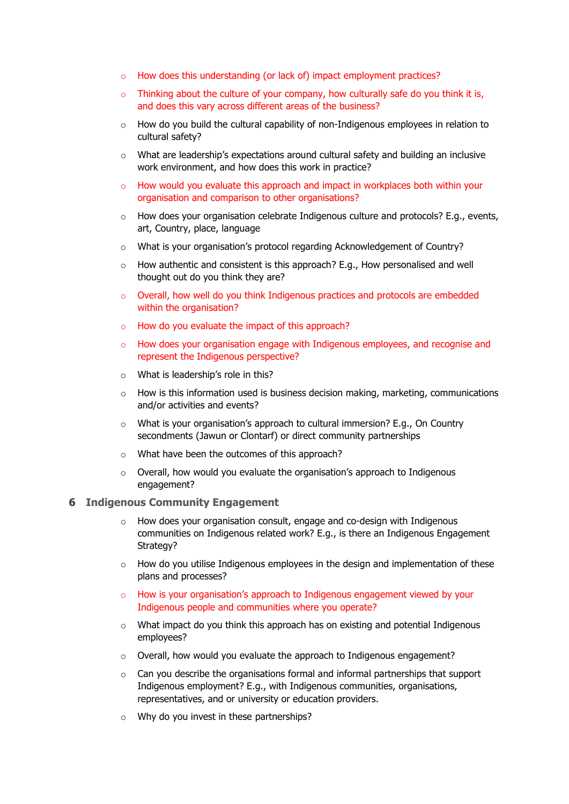- o How does this understanding (or lack of) impact employment practices?
- $\circ$  Thinking about the culture of your company, how culturally safe do you think it is, and does this vary across different areas of the business?
- o How do you build the cultural capability of non-Indigenous employees in relation to cultural safety?
- $\circ$  What are leadership's expectations around cultural safety and building an inclusive work environment, and how does this work in practice?
- o How would you evaluate this approach and impact in workplaces both within your organisation and comparison to other organisations?
- $\circ$  How does your organisation celebrate Indigenous culture and protocols? E.g., events, art, Country, place, language
- o What is your organisation's protocol regarding Acknowledgement of Country?
- $\circ$  How authentic and consistent is this approach? E.g., How personalised and well thought out do you think they are?
- $\circ$  Overall, how well do you think Indigenous practices and protocols are embedded within the organisation?
- o How do you evaluate the impact of this approach?
- o How does your organisation engage with Indigenous employees, and recognise and represent the Indigenous perspective?
- o What is leadership's role in this?
- $\circ$  How is this information used is business decision making, marketing, communications and/or activities and events?
- o What is your organisation's approach to cultural immersion? E.g., On Country secondments (Jawun or Clontarf) or direct community partnerships
- o What have been the outcomes of this approach?
- o Overall, how would you evaluate the organisation's approach to Indigenous engagement?

#### **6 Indigenous Community Engagement**

- How does your organisation consult, engage and co-design with Indigenous communities on Indigenous related work? E.g., is there an Indigenous Engagement Strategy?
- $\circ$  How do you utilise Indigenous employees in the design and implementation of these plans and processes?
- $\circ$  How is your organisation's approach to Indigenous engagement viewed by your Indigenous people and communities where you operate?
- $\circ$  What impact do you think this approach has on existing and potential Indigenous employees?
- o Overall, how would you evaluate the approach to Indigenous engagement?
- o Can you describe the organisations formal and informal partnerships that support Indigenous employment? E.g., with Indigenous communities, organisations, representatives, and or university or education providers.
- o Why do you invest in these partnerships?